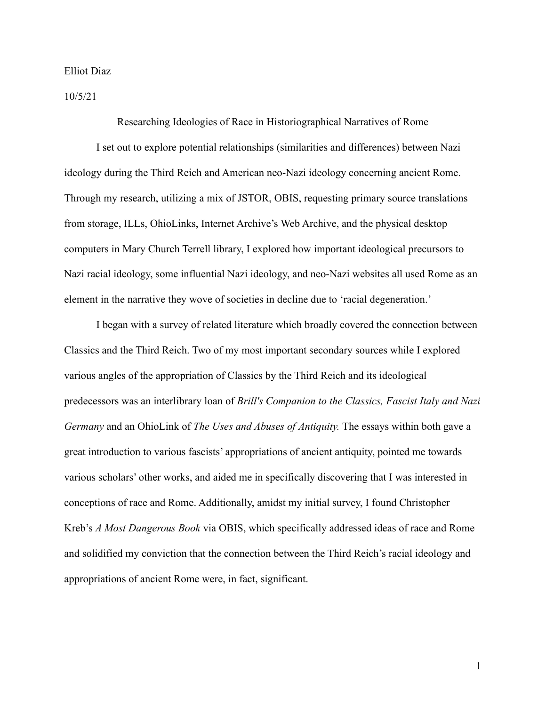Elliot Diaz

10/5/21

Researching Ideologies of Race in Historiographical Narratives of Rome

I set out to explore potential relationships (similarities and differences) between Nazi ideology during the Third Reich and American neo-Nazi ideology concerning ancient Rome. Through my research, utilizing a mix of JSTOR, OBIS, requesting primary source translations from storage, ILLs, OhioLinks, Internet Archive's Web Archive, and the physical desktop computers in Mary Church Terrell library, I explored how important ideological precursors to Nazi racial ideology, some influential Nazi ideology, and neo-Nazi websites all used Rome as an element in the narrative they wove of societies in decline due to 'racial degeneration.'

I began with a survey of related literature which broadly covered the connection between Classics and the Third Reich. Two of my most important secondary sources while I explored various angles of the appropriation of Classics by the Third Reich and its ideological predecessors was an interlibrary loan of *Brill's Companion to the Classics, Fascist Italy and Nazi Germany* and an OhioLink of *The Uses and Abuses of Antiquity.* The essays within both gave a great introduction to various fascists' appropriations of ancient antiquity, pointed me towards various scholars' other works, and aided me in specifically discovering that I was interested in conceptions of race and Rome. Additionally, amidst my initial survey, I found Christopher Kreb's *A Most Dangerous Book* via OBIS, which specifically addressed ideas of race and Rome and solidified my conviction that the connection between the Third Reich's racial ideology and appropriations of ancient Rome were, in fact, significant.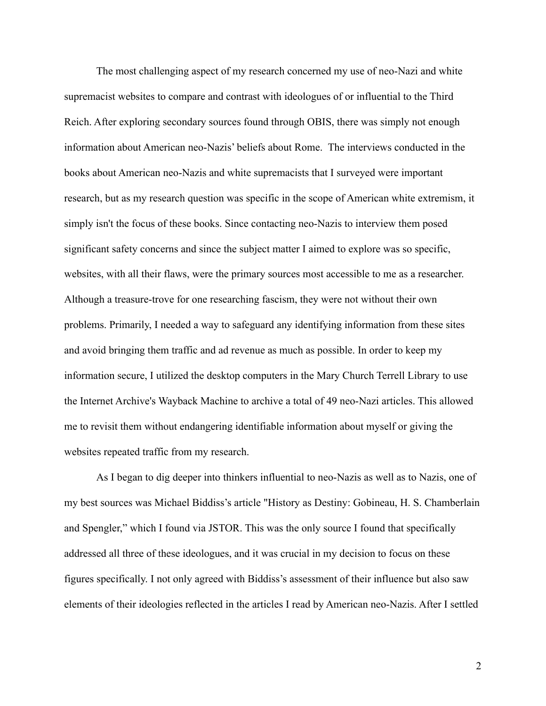The most challenging aspect of my research concerned my use of neo-Nazi and white supremacist websites to compare and contrast with ideologues of or influential to the Third Reich. After exploring secondary sources found through OBIS, there was simply not enough information about American neo-Nazis' beliefs about Rome. The interviews conducted in the books about American neo-Nazis and white supremacists that I surveyed were important research, but as my research question was specific in the scope of American white extremism, it simply isn't the focus of these books. Since contacting neo-Nazis to interview them posed significant safety concerns and since the subject matter I aimed to explore was so specific, websites, with all their flaws, were the primary sources most accessible to me as a researcher. Although a treasure-trove for one researching fascism, they were not without their own problems. Primarily, I needed a way to safeguard any identifying information from these sites and avoid bringing them traffic and ad revenue as much as possible. In order to keep my information secure, I utilized the desktop computers in the Mary Church Terrell Library to use the Internet Archive's Wayback Machine to archive a total of 49 neo-Nazi articles. This allowed me to revisit them without endangering identifiable information about myself or giving the websites repeated traffic from my research.

As I began to dig deeper into thinkers influential to neo-Nazis as well as to Nazis, one of my best sources was Michael Biddiss's article "History as Destiny: Gobineau, H. S. Chamberlain and Spengler," which I found via JSTOR. This was the only source I found that specifically addressed all three of these ideologues, and it was crucial in my decision to focus on these figures specifically. I not only agreed with Biddiss's assessment of their influence but also saw elements of their ideologies reflected in the articles I read by American neo-Nazis. After I settled

2